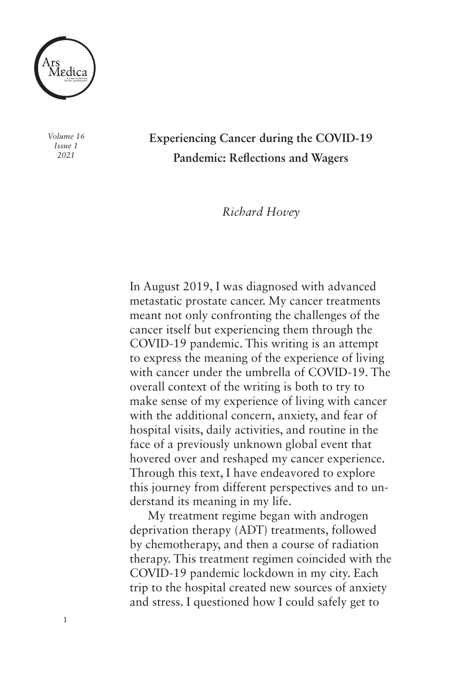

*Volume 16 Issue 1 2021*

1

**Experiencing Cancer during the COVID-19 Pandemic: Reflections and Wagers** 

*Richard Hovey* 

In August 2019, I was diagnosed with advanced metastatic prostate cancer. My cancer treatments meant not only confronting the challenges of the cancer itself but experiencing them through the COVID-19 pandemic. This writing is an attempt to express the meaning of the experience of living with cancer under the umbrella of COVID-19. The overall context of the writing is both to try to make sense of my experience of living with cancer with the additional concern, anxiety, and fear of hospital visits, daily activities, and routine in the face of a previously unknown global event that hovered over and reshaped my cancer experience. Through this text, I have endeavored to explore this journey from different perspectives and to understand its meaning in my life.

My treatment regime began with androgen deprivation therapy (ADT) treatments, followed by chemotherapy, and then a course of radiation therapy. This treatment regimen coincided with the COVID-19 pandemic lockdown in my city. Each trip to the hospital created new sources of anxiety and stress. I questioned how I could safely get to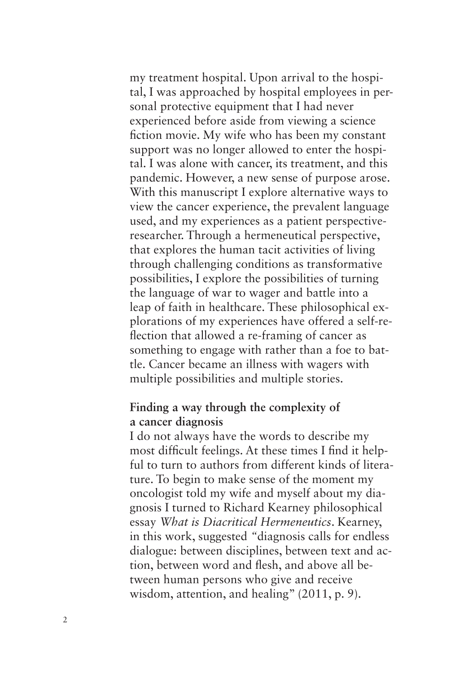my treatment hospital. Upon arrival to the hospital, I was approached by hospital employees in personal protective equipment that I had never experienced before aside from viewing a science fiction movie. My wife who has been my constant support was no longer allowed to enter the hospital. I was alone with cancer, its treatment, and this pandemic. However, a new sense of purpose arose. With this manuscript I explore alternative ways to view the cancer experience, the prevalent language used, and my experiences as a patient perspectiveresearcher. Through a hermeneutical perspective, that explores the human tacit activities of living through challenging conditions as transformative possibilities, I explore the possibilities of turning the language of war to wager and battle into a leap of faith in healthcare. These philosophical explorations of my experiences have offered a self-reflection that allowed a re-framing of cancer as something to engage with rather than a foe to battle. Cancer became an illness with wagers with multiple possibilities and multiple stories.

# **Finding a way through the complexity of a cancer diagnosis**

I do not always have the words to describe my most difficult feelings. At these times I find it helpful to turn to authors from different kinds of literature. To begin to make sense of the moment my oncologist told my wife and myself about my diagnosis I turned to Richard Kearney philosophical essay *What is Diacritical Hermeneutics*. Kearney, in this work, suggested *"*diagnosis calls for endless dialogue: between disciplines, between text and action, between word and flesh, and above all between human persons who give and receive wisdom, attention, and healing" (2011, p. 9).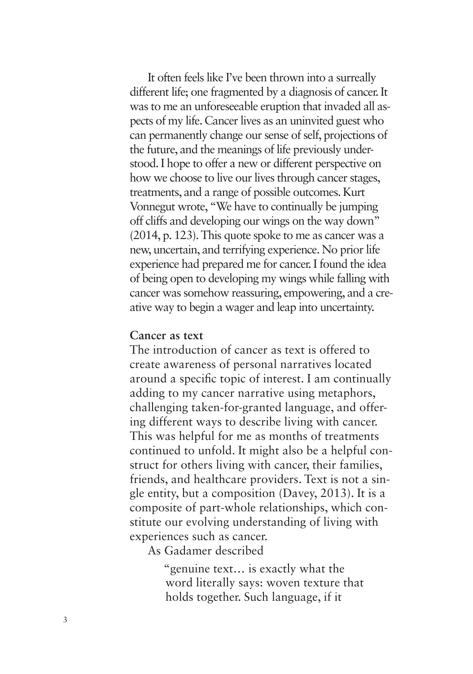It often feels like I've been thrown into a surreally different life; one fragmented by a diagnosis of cancer. It was to me an unforeseeable eruption that invaded all aspects of my life. Cancer lives as an uninvited guest who can permanently change our sense of self, projections of the future, and the meanings of life previously understood. I hope to offer a new or different perspective on how we choose to live our lives through cancer stages, treatments, and a range of possible outcomes. Kurt Vonnegut wrote, "We have to continually be jumping off cliffs and developing our wings on the way down" (2014, p. 123). This quote spoke to me as cancer was a new, uncertain, and terrifying experience. No prior life experience had prepared me for cancer. I found the idea of being open to developing my wings while falling with cancer was somehow reassuring, empowering, and a creative way to begin a wager and leap into uncertainty.

## **Cancer as text**

The introduction of cancer as text is offered to create awareness of personal narratives located around a specific topic of interest. I am continually adding to my cancer narrative using metaphors, challenging taken-for-granted language, and offering different ways to describe living with cancer. This was helpful for me as months of treatments continued to unfold. It might also be a helpful construct for others living with cancer, their families, friends, and healthcare providers. Text is not a single entity, but a composition (Davey, 2013). It is a composite of part-whole relationships, which constitute our evolving understanding of living with experiences such as cancer.

As Gadamer described

"genuine text… is exactly what the word literally says: woven texture that holds together. Such language, if it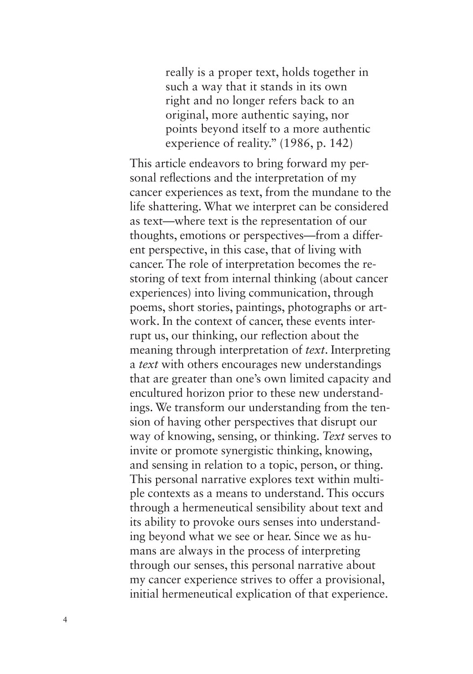really is a proper text, holds together in such a way that it stands in its own right and no longer refers back to an original, more authentic saying, nor points beyond itself to a more authentic experience of reality." (1986, p. 142)

This article endeavors to bring forward my personal reflections and the interpretation of my cancer experiences as text, from the mundane to the life shattering. What we interpret can be considered as text—where text is the representation of our thoughts, emotions or perspectives—from a different perspective, in this case, that of living with cancer. The role of interpretation becomes the restoring of text from internal thinking (about cancer experiences) into living communication, through poems, short stories, paintings, photographs or artwork. In the context of cancer, these events interrupt us, our thinking, our reflection about the meaning through interpretation of *text*. Interpreting a *text* with others encourages new understandings that are greater than one's own limited capacity and encultured horizon prior to these new understandings. We transform our understanding from the tension of having other perspectives that disrupt our way of knowing, sensing, or thinking. *Text* serves to invite or promote synergistic thinking, knowing, and sensing in relation to a topic, person, or thing. This personal narrative explores text within multiple contexts as a means to understand. This occurs through a hermeneutical sensibility about text and its ability to provoke ours senses into understanding beyond what we see or hear. Since we as humans are always in the process of interpreting through our senses, this personal narrative about my cancer experience strives to offer a provisional, initial hermeneutical explication of that experience.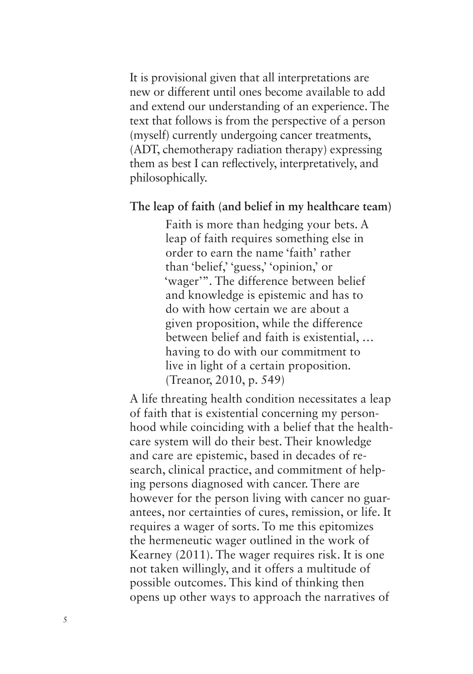It is provisional given that all interpretations are new or different until ones become available to add and extend our understanding of an experience. The text that follows is from the perspective of a person (myself) currently undergoing cancer treatments, (ADT, chemotherapy radiation therapy) expressing them as best I can reflectively, interpretatively, and philosophically.

### **The leap of faith (and belief in my healthcare team)**

Faith is more than hedging your bets. A leap of faith requires something else in order to earn the name 'faith' rather than 'belief,' 'guess,' 'opinion,' or 'wager'". The difference between belief and knowledge is epistemic and has to do with how certain we are about a given proposition, while the difference between belief and faith is existential, … having to do with our commitment to live in light of a certain proposition*.*  (Treanor, 2010, p. 549)

A life threating health condition necessitates a leap of faith that is existential concerning my personhood while coinciding with a belief that the healthcare system will do their best. Their knowledge and care are epistemic, based in decades of research, clinical practice, and commitment of helping persons diagnosed with cancer. There are however for the person living with cancer no guarantees, nor certainties of cures, remission, or life. It requires a wager of sorts. To me this epitomizes the hermeneutic wager outlined in the work of Kearney (2011). The wager requires risk. It is one not taken willingly, and it offers a multitude of possible outcomes. This kind of thinking then opens up other ways to approach the narratives of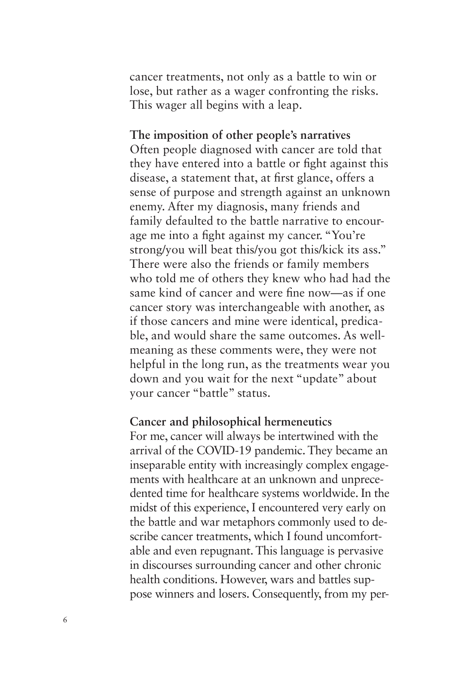cancer treatments, not only as a battle to win or lose, but rather as a wager confronting the risks. This wager all begins with a leap.

## **The imposition of other people's narratives**

Often people diagnosed with cancer are told that they have entered into a battle or fight against this disease, a statement that, at first glance, offers a sense of purpose and strength against an unknown enemy. After my diagnosis, many friends and family defaulted to the battle narrative to encourage me into a fight against my cancer. "You're strong/you will beat this/you got this/kick its ass.'' There were also the friends or family members who told me of others they knew who had had the same kind of cancer and were fine now—as if one cancer story was interchangeable with another, as if those cancers and mine were identical, predicable, and would share the same outcomes. As wellmeaning as these comments were, they were not helpful in the long run, as the treatments wear you down and you wait for the next "update" about your cancer "battle" status.

### **Cancer and philosophical hermeneutics**

For me, cancer will always be intertwined with the arrival of the COVID-19 pandemic. They became an inseparable entity with increasingly complex engagements with healthcare at an unknown and unprecedented time for healthcare systems worldwide. In the midst of this experience, I encountered very early on the battle and war metaphors commonly used to describe cancer treatments, which I found uncomfortable and even repugnant. This language is pervasive in discourses surrounding cancer and other chronic health conditions. However, wars and battles suppose winners and losers. Consequently, from my per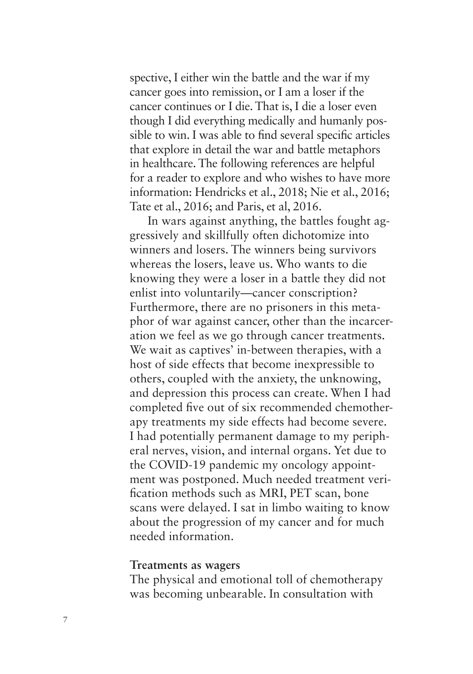spective, I either win the battle and the war if my cancer goes into remission, or I am a loser if the cancer continues or I die. That is, I die a loser even though I did everything medically and humanly possible to win. I was able to find several specific articles that explore in detail the war and battle metaphors in healthcare. The following references are helpful for a reader to explore and who wishes to have more information: Hendricks et al., 2018; Nie et al., 2016; Tate et al., 2016; and Paris, et al, 2016.

In wars against anything, the battles fought aggressively and skillfully often dichotomize into winners and losers. The winners being survivors whereas the losers, leave us. Who wants to die knowing they were a loser in a battle they did not enlist into voluntarily—cancer conscription? Furthermore, there are no prisoners in this metaphor of war against cancer, other than the incarceration we feel as we go through cancer treatments. We wait as captives' in-between therapies, with a host of side effects that become inexpressible to others, coupled with the anxiety, the unknowing, and depression this process can create. When I had completed five out of six recommended chemotherapy treatments my side effects had become severe. I had potentially permanent damage to my peripheral nerves, vision, and internal organs. Yet due to the COVID-19 pandemic my oncology appointment was postponed. Much needed treatment verification methods such as MRI, PET scan, bone scans were delayed. I sat in limbo waiting to know about the progression of my cancer and for much needed information.

### **Treatments as wagers**

The physical and emotional toll of chemotherapy was becoming unbearable. In consultation with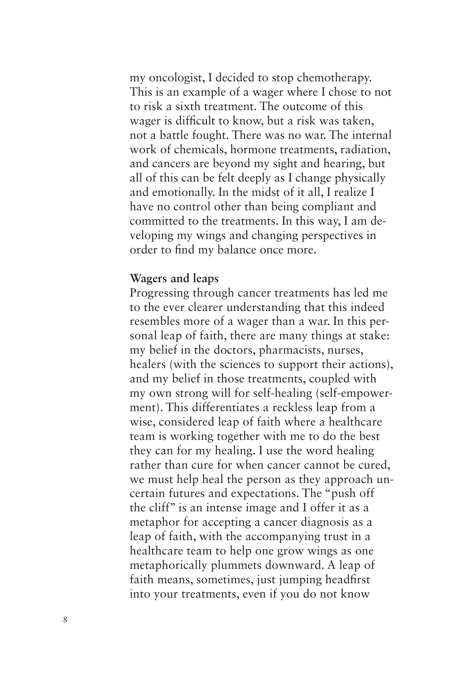my oncologist, I decided to stop chemotherapy. This is an example of a wager where I chose to not to risk a sixth treatment. The outcome of this wager is difficult to know, but a risk was taken, not a battle fought. There was no war. The internal work of chemicals, hormone treatments, radiation, and cancers are beyond my sight and hearing, but all of this can be felt deeply as I change physically and emotionally. In the midst of it all, I realize I have no control other than being compliant and committed to the treatments. In this way, I am developing my wings and changing perspectives in order to find my balance once more.

### **Wagers and leaps**

Progressing through cancer treatments has led me to the ever clearer understanding that this indeed resembles more of a wager than a war. In this personal leap of faith, there are many things at stake: my belief in the doctors, pharmacists, nurses, healers (with the sciences to support their actions), and my belief in those treatments, coupled with my own strong will for self-healing (self-empowerment). This differentiates a reckless leap from a wise, considered leap of faith where a healthcare team is working together with me to do the best they can for my healing. I use the word healing rather than cure for when cancer cannot be cured, we must help heal the person as they approach uncertain futures and expectations. The "push off the cliff" is an intense image and I offer it as a metaphor for accepting a cancer diagnosis as a leap of faith, with the accompanying trust in a healthcare team to help one grow wings as one metaphorically plummets downward. A leap of faith means, sometimes, just jumping headfirst into your treatments, even if you do not know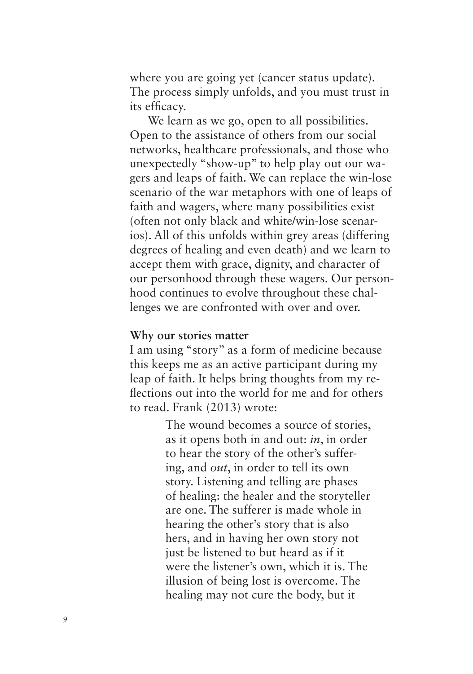where you are going yet (cancer status update). The process simply unfolds, and you must trust in its efficacy.

We learn as we go, open to all possibilities. Open to the assistance of others from our social networks, healthcare professionals, and those who unexpectedly "show-up" to help play out our wagers and leaps of faith. We can replace the win-lose scenario of the war metaphors with one of leaps of faith and wagers, where many possibilities exist (often not only black and white/win-lose scenarios). All of this unfolds within grey areas (differing degrees of healing and even death) and we learn to accept them with grace, dignity, and character of our personhood through these wagers. Our personhood continues to evolve throughout these challenges we are confronted with over and over.

## **Why our stories matter**

I am using "story" as a form of medicine because this keeps me as an active participant during my leap of faith. It helps bring thoughts from my reflections out into the world for me and for others to read. Frank (2013) wrote:

> The wound becomes a source of stories, as it opens both in and out: *in*, in order to hear the story of the other's suffering, and *out*, in order to tell its own story. Listening and telling are phases of healing: the healer and the storyteller are one. The sufferer is made whole in hearing the other's story that is also hers, and in having her own story not just be listened to but heard as if it were the listener's own, which it is. The illusion of being lost is overcome. The healing may not cure the body, but it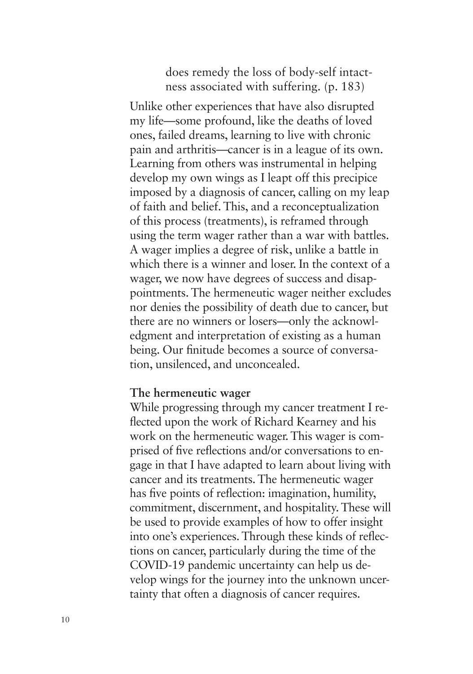# does remedy the loss of body-self intactness associated with suffering. (p. 183)

Unlike other experiences that have also disrupted my life—some profound, like the deaths of loved ones, failed dreams, learning to live with chronic pain and arthritis—cancer is in a league of its own. Learning from others was instrumental in helping develop my own wings as I leapt off this precipice imposed by a diagnosis of cancer, calling on my leap of faith and belief. This, and a reconceptualization of this process (treatments), is reframed through using the term wager rather than a war with battles. A wager implies a degree of risk, unlike a battle in which there is a winner and loser. In the context of a wager, we now have degrees of success and disappointments. The hermeneutic wager neither excludes nor denies the possibility of death due to cancer, but there are no winners or losers—only the acknowledgment and interpretation of existing as a human being. Our finitude becomes a source of conversation, unsilenced, and unconcealed.

### **The hermeneutic wager**

While progressing through my cancer treatment I reflected upon the work of Richard Kearney and his work on the hermeneutic wager. This wager is comprised of five reflections and/or conversations to engage in that I have adapted to learn about living with cancer and its treatments. The hermeneutic wager has five points of reflection: imagination, humility, commitment, discernment, and hospitality. These will be used to provide examples of how to offer insight into one's experiences. Through these kinds of reflections on cancer, particularly during the time of the COVID-19 pandemic uncertainty can help us develop wings for the journey into the unknown uncertainty that often a diagnosis of cancer requires.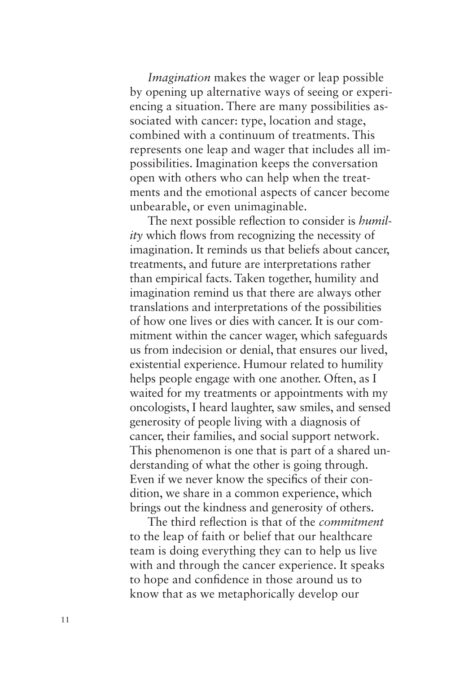*Imagination* makes the wager or leap possible by opening up alternative ways of seeing or experiencing a situation. There are many possibilities associated with cancer: type, location and stage, combined with a continuum of treatments. This represents one leap and wager that includes all impossibilities. Imagination keeps the conversation open with others who can help when the treatments and the emotional aspects of cancer become unbearable, or even unimaginable.

The next possible reflection to consider is *humility* which flows from recognizing the necessity of imagination. It reminds us that beliefs about cancer, treatments, and future are interpretations rather than empirical facts. Taken together, humility and imagination remind us that there are always other translations and interpretations of the possibilities of how one lives or dies with cancer. It is our commitment within the cancer wager, which safeguards us from indecision or denial, that ensures our lived, existential experience. Humour related to humility helps people engage with one another. Often, as I waited for my treatments or appointments with my oncologists, I heard laughter, saw smiles, and sensed generosity of people living with a diagnosis of cancer, their families, and social support network. This phenomenon is one that is part of a shared understanding of what the other is going through. Even if we never know the specifics of their condition, we share in a common experience, which brings out the kindness and generosity of others.

The third reflection is that of the *commitment* to the leap of faith or belief that our healthcare team is doing everything they can to help us live with and through the cancer experience. It speaks to hope and confidence in those around us to know that as we metaphorically develop our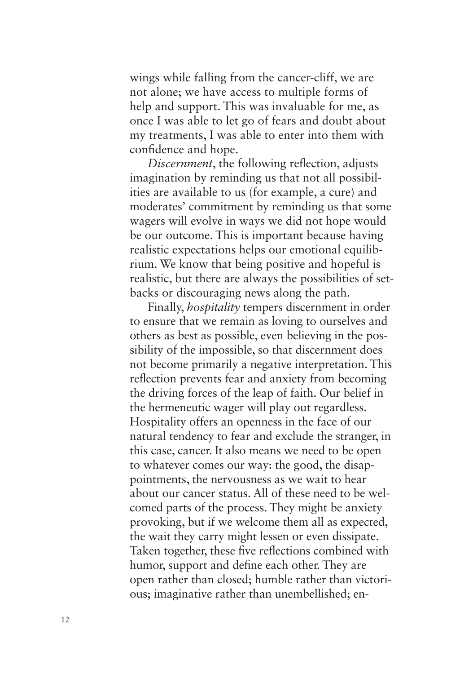wings while falling from the cancer-cliff, we are not alone; we have access to multiple forms of help and support. This was invaluable for me, as once I was able to let go of fears and doubt about my treatments, I was able to enter into them with confidence and hope.

*Discernment*, the following reflection, adjusts imagination by reminding us that not all possibilities are available to us (for example, a cure) and moderates' commitment by reminding us that some wagers will evolve in ways we did not hope would be our outcome. This is important because having realistic expectations helps our emotional equilibrium. We know that being positive and hopeful is realistic, but there are always the possibilities of setbacks or discouraging news along the path.

Finally, *hospitality* tempers discernment in order to ensure that we remain as loving to ourselves and others as best as possible, even believing in the possibility of the impossible, so that discernment does not become primarily a negative interpretation. This reflection prevents fear and anxiety from becoming the driving forces of the leap of faith. Our belief in the hermeneutic wager will play out regardless. Hospitality offers an openness in the face of our natural tendency to fear and exclude the stranger, in this case, cancer. It also means we need to be open to whatever comes our way: the good, the disappointments, the nervousness as we wait to hear about our cancer status. All of these need to be welcomed parts of the process. They might be anxiety provoking, but if we welcome them all as expected, the wait they carry might lessen or even dissipate. Taken together, these five reflections combined with humor, support and define each other. They are open rather than closed; humble rather than victorious; imaginative rather than unembellished; en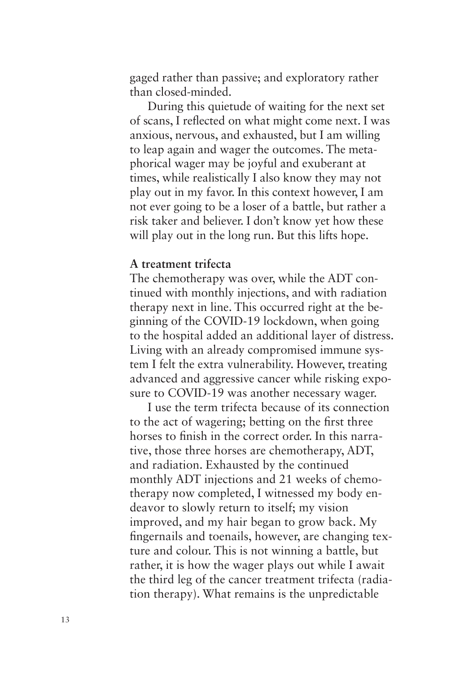gaged rather than passive; and exploratory rather than closed-minded.

During this quietude of waiting for the next set of scans, I reflected on what might come next. I was anxious, nervous, and exhausted, but I am willing to leap again and wager the outcomes. The metaphorical wager may be joyful and exuberant at times, while realistically I also know they may not play out in my favor. In this context however, I am not ever going to be a loser of a battle, but rather a risk taker and believer. I don't know yet how these will play out in the long run. But this lifts hope.

# **A treatment trifecta**

The chemotherapy was over, while the ADT continued with monthly injections, and with radiation therapy next in line. This occurred right at the beginning of the COVID-19 lockdown, when going to the hospital added an additional layer of distress. Living with an already compromised immune system I felt the extra vulnerability. However, treating advanced and aggressive cancer while risking exposure to COVID-19 was another necessary wager.

I use the term trifecta because of its connection to the act of wagering; betting on the first three horses to finish in the correct order. In this narrative, those three horses are chemotherapy, ADT, and radiation. Exhausted by the continued monthly ADT injections and 21 weeks of chemotherapy now completed, I witnessed my body endeavor to slowly return to itself; my vision improved, and my hair began to grow back. My fingernails and toenails, however, are changing texture and colour. This is not winning a battle, but rather, it is how the wager plays out while I await the third leg of the cancer treatment trifecta (radiation therapy). What remains is the unpredictable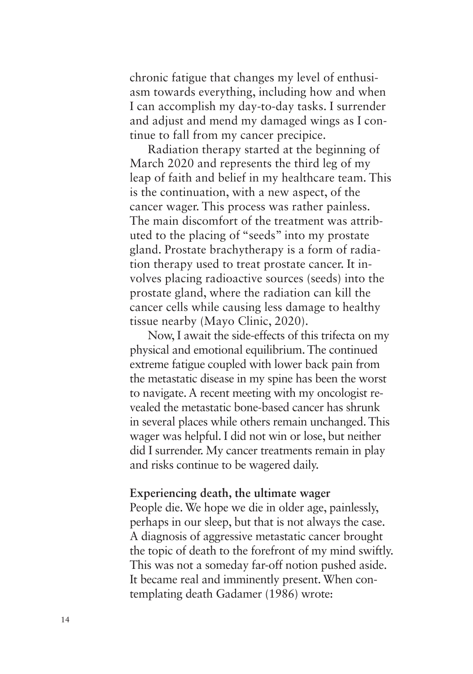chronic fatigue that changes my level of enthusiasm towards everything, including how and when I can accomplish my day-to-day tasks. I surrender and adjust and mend my damaged wings as I continue to fall from my cancer precipice.

Radiation therapy started at the beginning of March 2020 and represents the third leg of my leap of faith and belief in my healthcare team. This is the continuation, with a new aspect, of the cancer wager. This process was rather painless. The main discomfort of the treatment was attributed to the placing of "seeds" into my prostate gland. Prostate brachytherapy is a form of radiation therapy used to treat prostate cancer. It involves placing radioactive sources (seeds) into the prostate gland, where the radiation can kill the cancer cells while causing less damage to healthy tissue nearby (Mayo Clinic, 2020).

Now, I await the side-effects of this trifecta on my physical and emotional equilibrium. The continued extreme fatigue coupled with lower back pain from the metastatic disease in my spine has been the worst to navigate. A recent meeting with my oncologist revealed the metastatic bone-based cancer has shrunk in several places while others remain unchanged. This wager was helpful. I did not win or lose, but neither did I surrender. My cancer treatments remain in play and risks continue to be wagered daily.

### **Experiencing death, the ultimate wager**

People die. We hope we die in older age, painlessly, perhaps in our sleep, but that is not always the case. A diagnosis of aggressive metastatic cancer brought the topic of death to the forefront of my mind swiftly. This was not a someday far-off notion pushed aside. It became real and imminently present. When contemplating death Gadamer (1986) wrote: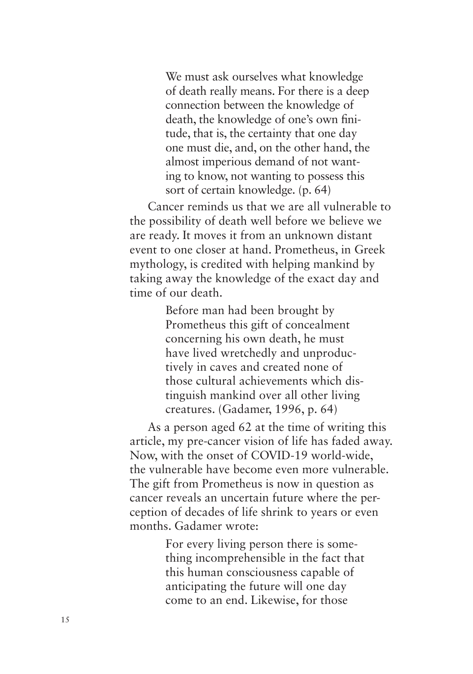We must ask ourselves what knowledge of death really means. For there is a deep connection between the knowledge of death, the knowledge of one's own finitude, that is, the certainty that one day one must die, and, on the other hand, the almost imperious demand of not wanting to know, not wanting to possess this sort of certain knowledge*.* (p. 64)

Cancer reminds us that we are all vulnerable to the possibility of death well before we believe we are ready. It moves it from an unknown distant event to one closer at hand. Prometheus, in Greek mythology, is credited with helping mankind by taking away the knowledge of the exact day and time of our death.

> Before man had been brought by Prometheus this gift of concealment concerning his own death, he must have lived wretchedly and unproductively in caves and created none of those cultural achievements which distinguish mankind over all other living creatures. (Gadamer, 1996, p. 64)

As a person aged 62 at the time of writing this article, my pre-cancer vision of life has faded away. Now, with the onset of COVID-19 world-wide, the vulnerable have become even more vulnerable. The gift from Prometheus is now in question as cancer reveals an uncertain future where the perception of decades of life shrink to years or even months. Gadamer wrote:

> For every living person there is something incomprehensible in the fact that this human consciousness capable of anticipating the future will one day come to an end. Likewise, for those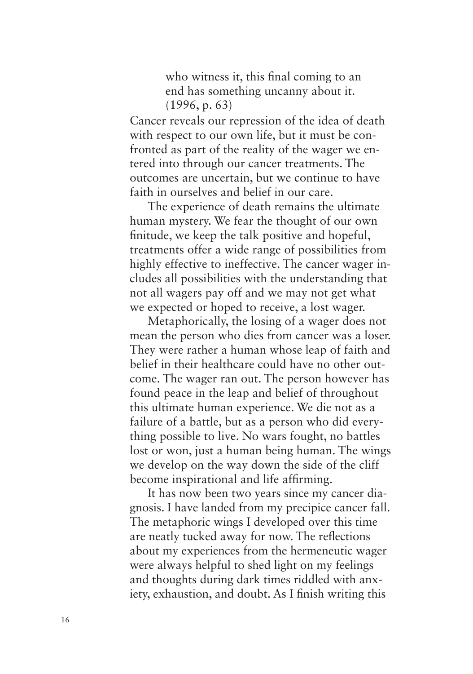who witness it, this final coming to an end has something uncanny about it. (1996, p. 63)

Cancer reveals our repression of the idea of death with respect to our own life, but it must be confronted as part of the reality of the wager we entered into through our cancer treatments. The outcomes are uncertain, but we continue to have faith in ourselves and belief in our care.

The experience of death remains the ultimate human mystery. We fear the thought of our own finitude, we keep the talk positive and hopeful, treatments offer a wide range of possibilities from highly effective to ineffective. The cancer wager includes all possibilities with the understanding that not all wagers pay off and we may not get what we expected or hoped to receive, a lost wager.

Metaphorically, the losing of a wager does not mean the person who dies from cancer was a loser. They were rather a human whose leap of faith and belief in their healthcare could have no other outcome. The wager ran out. The person however has found peace in the leap and belief of throughout this ultimate human experience. We die not as a failure of a battle, but as a person who did everything possible to live. No wars fought, no battles lost or won, just a human being human. The wings we develop on the way down the side of the cliff become inspirational and life affirming.

It has now been two years since my cancer diagnosis. I have landed from my precipice cancer fall. The metaphoric wings I developed over this time are neatly tucked away for now. The reflections about my experiences from the hermeneutic wager were always helpful to shed light on my feelings and thoughts during dark times riddled with anxiety, exhaustion, and doubt. As I finish writing this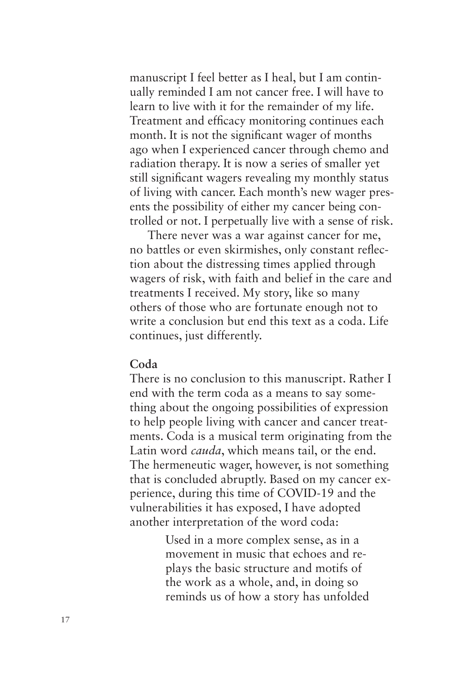manuscript I feel better as I heal, but I am continually reminded I am not cancer free. I will have to learn to live with it for the remainder of my life. Treatment and efficacy monitoring continues each month. It is not the significant wager of months ago when I experienced cancer through chemo and radiation therapy. It is now a series of smaller yet still significant wagers revealing my monthly status of living with cancer. Each month's new wager presents the possibility of either my cancer being controlled or not. I perpetually live with a sense of risk.

There never was a war against cancer for me, no battles or even skirmishes, only constant reflection about the distressing times applied through wagers of risk, with faith and belief in the care and treatments I received. My story, like so many others of those who are fortunate enough not to write a conclusion but end this text as a coda. Life continues, just differently.

### **Coda**

There is no conclusion to this manuscript. Rather I end with the term coda as a means to say something about the ongoing possibilities of expression to help people living with cancer and cancer treatments. Coda is a musical term originating from the Latin word *cauda*, which means tail, or the end. The hermeneutic wager, however, is not something that is concluded abruptly. Based on my cancer experience, during this time of COVID-19 and the vulnerabilities it has exposed, I have adopted another interpretation of the word coda:

> Used in a more complex sense, as in a movement in music that echoes and replays the basic structure and motifs of the work as a whole, and, in doing so reminds us of how a story has unfolded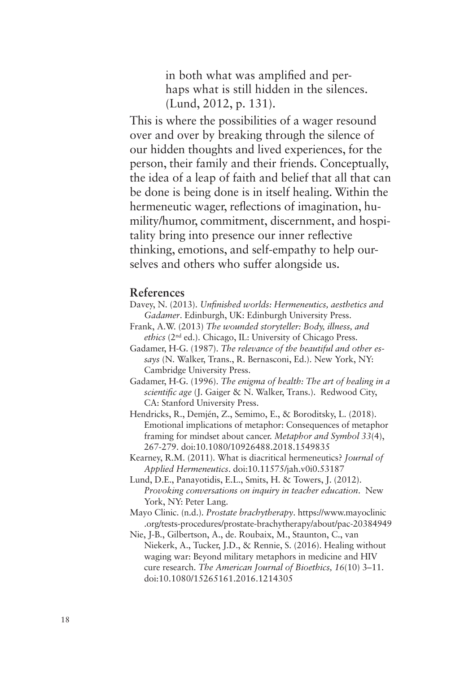in both what was amplified and perhaps what is still hidden in the silences. (Lund, 2012, p. 131).

This is where the possibilities of a wager resound over and over by breaking through the silence of our hidden thoughts and lived experiences, for the person, their family and their friends. Conceptually, the idea of a leap of faith and belief that all that can be done is being done is in itself healing. Within the hermeneutic wager, reflections of imagination, humility/humor, commitment, discernment, and hospitality bring into presence our inner reflective thinking, emotions, and self-empathy to help ourselves and others who suffer alongside us.

#### **References**

- Davey, N. (2013). *Unfinished worlds: Hermeneutics, aesthetics and Gadamer*. Edinburgh, UK: Edinburgh University Press.
- Frank, A.W. (2013) *[The wounded storyteller: Body, il](https://doi.org/10.1080/10926488.2018.1549835)lness, and ethics* (2nd ed.). Chicago, IL: University of Chicago Press.
- Gadamer, H-G. (1987). *The re[levance of the beautiful and](https://doi.org/10.11575/jah.v0i0.53187) other essays* (N. Walker, Trans., R. Bernasconi, Ed.). New York, NY: Cambridge University Press.
- Gadamer, H-G. (1996). *The enigma of health: The art of healing in a scientific age* (J. Gaiger & N. Walker, Tr[ans.\). Redwood City,](https://www.mayoclinic.org/tests-procedures/prostate-brachytherapy/about/pac-20384949)  CA: Stanford University Press.
- He[ndricks, R., Demjén, Z., Semimo, E., & Boroditsky, L. \(2018\).](https://www.mayoclinic.org/tests-procedures/prostate-brachytherapy/about/pac-20384949)  Emotional implications of metaphor: Consequences of metaphor framing for mindset about cancer. *Metaphor and Symbol 33*(4), 267-279. doi:10.1080/10926488.2018.1549835
- Kearne[y, R.M. \(2011\). What is diacritical he](https://doi.org/10.1080/15265161.2016.1214305)rmeneutics? *Journal of Applied Hermeneutics*. doi:10.11575/jah.v0i0.53187
- Lund, D.E., Panayotidis, E.L., Smits, H. & Towers, J. (2012). *Provoking conversations on inquiry in teacher education*. New York, NY: Peter Lang.
- Mayo Clinic. (n.d.). *Prostate brachytherapy*. https://www.mayoclinic .org/tests-procedures/prostate-brachytherapy/about/pac-20384949
- Nie, J-B., Gilbertson, A., de. Roubaix, M., Staunton, C., van Niekerk, A., Tucker, J.D., & Rennie, S. (2016). Healing without waging war: Beyond military metaphors in medicine and HIV cure research. *The American Journal of Bioethics, 16*(10) 3–11. doi:10.1080/15265161.2016.1214305